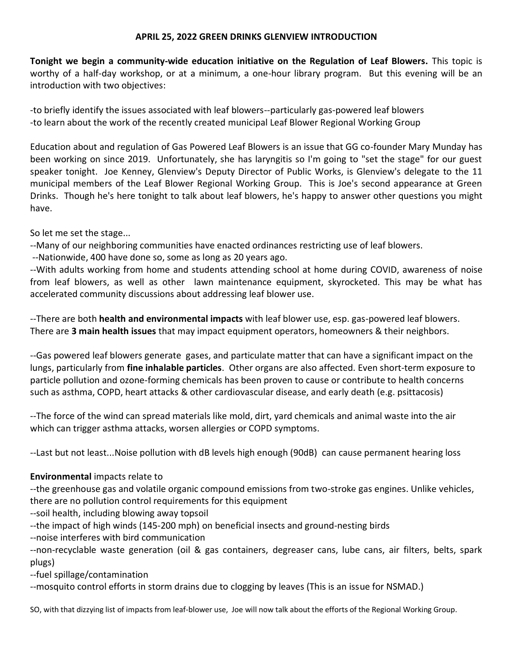## **APRIL 25, 2022 GREEN DRINKS GLENVIEW INTRODUCTION**

**Tonight we begin a community-wide education initiative on the Regulation of Leaf Blowers.** This topic is worthy of a half-day workshop, or at a minimum, a one-hour library program. But this evening will be an introduction with two objectives:

-to briefly identify the issues associated with leaf blowers--particularly gas-powered leaf blowers -to learn about the work of the recently created municipal Leaf Blower Regional Working Group

Education about and regulation of Gas Powered Leaf Blowers is an issue that GG co-founder Mary Munday has been working on since 2019. Unfortunately, she has laryngitis so I'm going to "set the stage" for our guest speaker tonight. Joe Kenney, Glenview's Deputy Director of Public Works, is Glenview's delegate to the 11 municipal members of the Leaf Blower Regional Working Group. This is Joe's second appearance at Green Drinks. Though he's here tonight to talk about leaf blowers, he's happy to answer other questions you might have.

So let me set the stage...

--Many of our neighboring communities have enacted ordinances restricting use of leaf blowers.

--Nationwide, 400 have done so, some as long as 20 years ago.

--With adults working from home and students attending school at home during COVID, awareness of noise from leaf blowers, as well as other lawn maintenance equipment, skyrocketed. This may be what has accelerated community discussions about addressing leaf blower use.

--There are both **health and environmental impacts** with leaf blower use, esp. gas-powered leaf blowers. There are **3 main health issues** that may impact equipment operators, homeowners & their neighbors.

--Gas powered leaf blowers generate gases, and particulate matter that can have a significant impact on the lungs, particularly from **fine inhalable particles**. Other organs are also affected. Even short-term exposure to particle pollution and ozone-forming chemicals has been proven to cause or contribute to health concerns such as asthma, COPD, heart attacks & other cardiovascular disease, and early death (e.g. psittacosis)

--The force of the wind can spread materials like mold, dirt, yard chemicals and animal waste into the air which can trigger asthma attacks, worsen allergies or COPD symptoms.

--Last but not least...Noise pollution with dB levels high enough (90dB) can cause permanent hearing loss

## **Environmental** impacts relate to

--the greenhouse gas and volatile organic compound emissions from two-stroke gas engines. Unlike vehicles, there are no pollution control requirements for this equipment

--soil health, including blowing away topsoil

--the impact of high winds (145-200 mph) on beneficial insects and ground-nesting birds

--noise interferes with bird communication

--non-recyclable waste generation (oil & gas containers, degreaser cans, lube cans, air filters, belts, spark plugs)

--fuel spillage/contamination

--mosquito control efforts in storm drains due to clogging by leaves (This is an issue for NSMAD.)

SO, with that dizzying list of impacts from leaf-blower use, Joe will now talk about the efforts of the Regional Working Group.